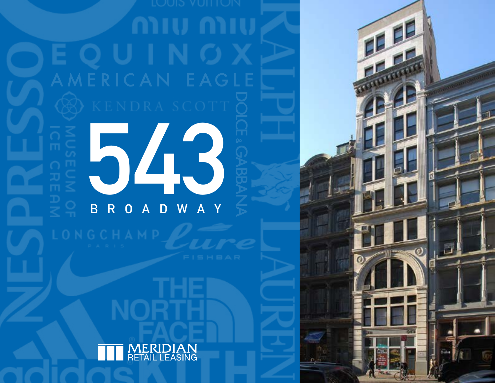# EOUIN

中国人

543  $\overline{\mathsf{R}}$  $\overline{B}$ W  $\overline{0}$  $\overline{\mathsf{A}}$  $\overline{\mathsf{A}}$ D

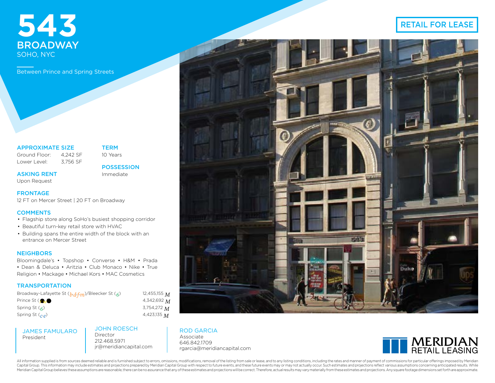# **543** BROADWAY SOHO, NYC

Between Prince and Spring Streets

# APPROXIMATE SIZE

Ground Floor: 4,242 SF Lower Level: 3,756 SF TERM 10 Years

ASKING RENT Upon Request

**POSSESSION** Immediate

12 FT on Mercer Street | 20 FT on Broadway

# **COMMENTS**

**FRONTAGE** 

- Flagship store along SoHo's busiest shopping corridor
- Beautiful turn-key retail store with HVAC
- Building spans the entire width of the block with an entrance on Mercer Street

# **NEIGHBORS**

Bloomingdale's • Topshop • Converse • H&M • Prada • Dean & Deluca • Aritzia • Club Monaco • Nike • True Religion • Mackage • Michael Kors • MAC Cosmetics

# **TRANSPORTATION**

Broadway-Lafayette St (*b*, *d*, *f*, *m*)/Bleecker St (*6*) 12,455,155 *M* Prince St (*r***<sub>1/</sub>** *r*)<br>Spring St (*c*) Spring St (*c*,

JAMES FAMULARO President

JOHN ROESCH Director 212.468.5971 jr@meridiancapital.com

*w*) 4,342,692 *M* Spring St (*6*) 3,754,272 *M*

*e*) 4,423,135 *M*

## ROD GARCIA

Associate 646.842.1709 rgarcia@meridiancapital.com



All information supplied is from sources deemed reliable and is furnished subject to errors, omissions, modifications, removal of the listing from sale or lease, and to any listing conditions, including the rates and manne Capital Group. This information may include estimates and projections prepared by Meridian Capital Group with respect to future events, and these future events may or may not actually occur. Such estimates and projections Meridian Capital Group believes these assumptions are reasonable, there can be no assurance that any of these estimates and projections will be correct. Therefore, actual results may vary materially from these estimates an

# RETAIL FOR LEASE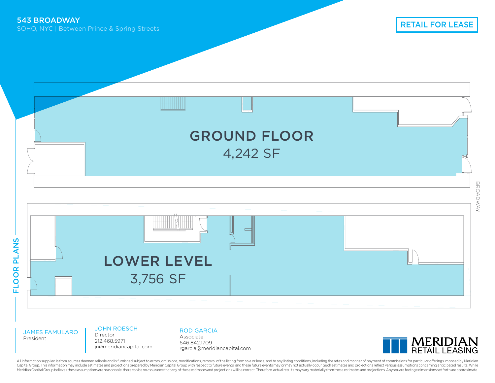

JAMES FAMULARO President

JOHN ROESCH

Director 212.468.5971 jr@meridiancapital.com ROD GARCIA

Associate 646.842.1709 rgarcia@meridiancapital.com



All information supplied is from sources deemed reliable and is furnished subject to errors, omissions, modifications, removal of the listing from sale or lease, and to any listing conditions, including the rates and manne Capital Group. This information may include estimates and projections prepared by Meridian Capital Group with respect to future events, and these future events may or may not actually occur. Such estimates and projections Meridian Capital Group believes these assumptions are reasonable, there can be no assurance that any of these estimates and projections will be correct. Therefore, actual results may vary materially from these estimates an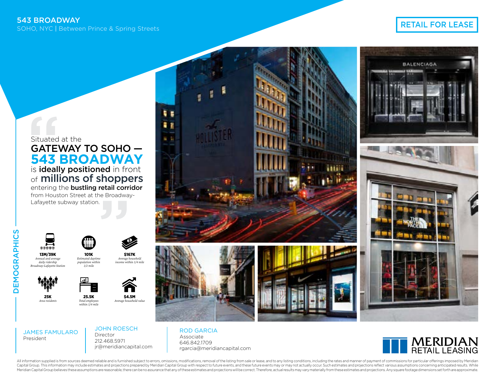# RETAIL FOR LEASE

Situated at the GATEWAY TO SOHO — **543 BROADWAY** is ideally positioned in front of **millions of shoppers** entering the **bustling retail corridor** from Houston Street at the Broadway-Lafayette subway station.





13M/39K *Annual and average daily ridership Broadway-Lafayette Station*





101K *Estimated dayti population within 1/2 mile*

*Total employees within 1/4 mile* \$4.5M *Average household value*



草屋 82







JAMES FAMULARO President

JOHN ROESCH Director 212.468.5971 jr@meridiancapital.com

\$167K *Average household income within 1/4 mile*

> ROD GARCIA Associate 646.842.1709 rgarcia@meridiancapital.com



All information supplied is from sources deemed reliable and is furnished subject to errors, omissions, modifications, removal of the listing from sale or lease, and to any listing conditions, including the rates and manne Capital Group. This information may include estimates and projections prepared by Meridian Capital Group with respect to future events, and these future events may or may not actually occur. Such estimates and projections Meridian Capital Group believes these assumptions are reasonable, there can be no assurance that any of these estimates and projections will be correct. Therefore, actual results may vary materially from these estimates an